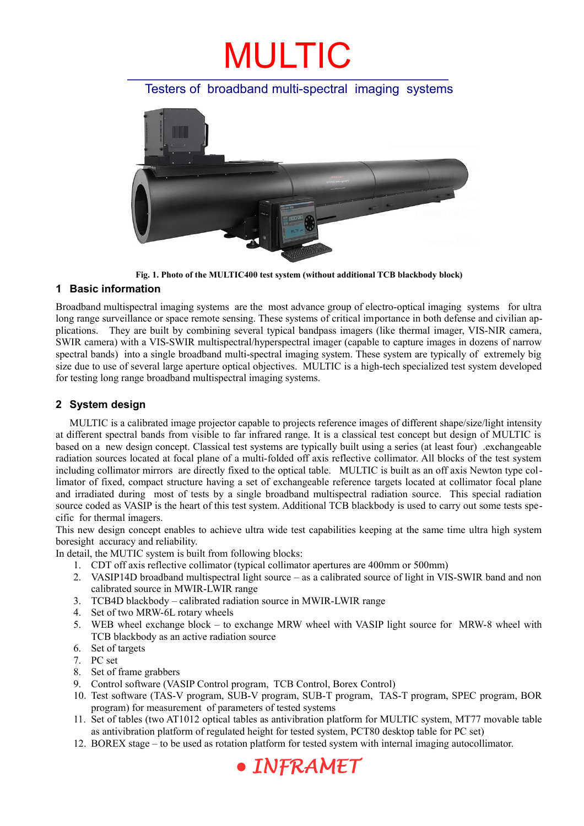### MULTIC

#### Testers of broadband multi-spectral imaging systems



**Fig. 1. Photo of the MULTIC400 test system (without additional TCB blackbody block)**

#### **1 Basic information**

Broadband multispectral imaging systems are the most advance group of electro-optical imaging systems for ultra long range surveillance or space remote sensing. These systems of critical importance in both defense and civilian applications. They are built by combining several typical bandpass imagers (like thermal imager, VIS-NIR camera, SWIR camera) with a VIS-SWIR multispectral/hyperspectral imager (capable to capture images in dozens of narrow spectral bands) into a single broadband multi-spectral imaging system. These system are typically of extremely big size due to use of several large aperture optical objectives. MULTIC is a high-tech specialized test system developed for testing long range broadband multispectral imaging systems.

#### **2 System design**

MULTIC is a calibrated image projector capable to projects reference images of different shape/size/light intensity at different spectral bands from visible to far infrared range. It is a classical test concept but design of MULTIC is based on a new design concept. Classical test systems are typically built using a series (at least four) .exchangeable radiation sources located at focal plane of a multi-folded off axis reflective collimator. All blocks of the test system including collimator mirrors are directly fixed to the optical table. MULTIC is built as an off axis Newton type collimator of fixed, compact structure having a set of exchangeable reference targets located at collimator focal plane and irradiated during most of tests by a single broadband multispectral radiation source. This special radiation source coded as VASIP is the heart of this test system. Additional TCB blackbody is used to carry out some tests specific for thermal imagers.

This new design concept enables to achieve ultra wide test capabilities keeping at the same time ultra high system boresight accuracy and reliability.

In detail, the MUTIC system is built from following blocks:

- 1. CDT off axis reflective collimator (typical collimator apertures are 400mm or 500mm)
- 2. VASIP14D broadband multispectral light source as a calibrated source of light in VIS-SWIR band and non calibrated source in MWIR-LWIR range
- 3. TCB4D blackbody calibrated radiation source in MWIR-LWIR range
- 4. Set of two MRW-6L rotary wheels
- 5. WEB wheel exchange block to exchange MRW wheel with VASIP light source for MRW-8 wheel with TCB blackbody as an active radiation source
- 6. Set of targets
- 7. PC set
- 8. Set of frame grabbers
- 9. Control software (VASIP Control program, TCB Control, Borex Control)
- 10. Test software (TAS-V program, SUB-V program, SUB-T program, TAS-T program, SPEC program, BOR program) for measurement of parameters of tested systems
- 11. Set of tables (two AT1012 optical tables as antivibration platform for MULTIC system, MT77 movable table as antivibration platform of regulated height for tested system, PCT80 desktop table for PC set)
- 12. BOREX stage to be used as rotation platform for tested system with internal imaging autocollimator.

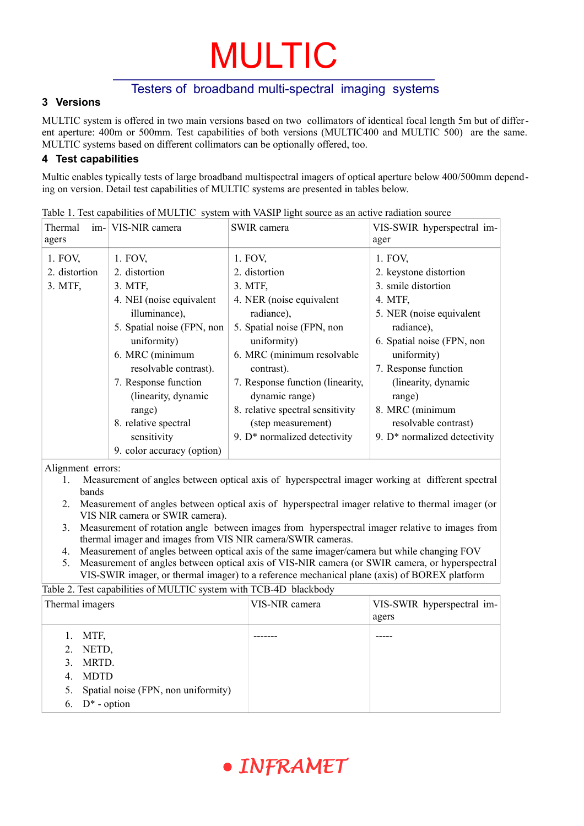# MULTIC

#### Testers of broadband multi-spectral imaging systems

#### **3 Versions**

MULTIC system is offered in two main versions based on two collimators of identical focal length 5m but of different aperture: 400m or 500mm. Test capabilities of both versions (MULTIC400 and MULTIC 500) are the same. MULTIC systems based on different collimators can be optionally offered, too.

#### **4 Test capabilities**

Multic enables typically tests of large broadband multispectral imagers of optical aperture below 400/500mm depending on version. Detail test capabilities of MULTIC systems are presented in tables below.

| Thermal<br>agers | im- VIS-NIR camera         | SWIR camera                      | VIS-SWIR hyperspectral im-<br>ager |
|------------------|----------------------------|----------------------------------|------------------------------------|
| 1. FOV,          | 1. FOV,                    | 1. FOV,                          | 1. FOV,                            |
| 2. distortion    | 2. distortion              | 2. distortion                    | 2. keystone distortion             |
| 3. MTF,          | 3. MTF,                    | 3. MTF,                          | 3. smile distortion                |
|                  | 4. NEI (noise equivalent)  | 4. NER (noise equivalent         | 4. MTF,                            |
|                  | illuminance),              | radiance),                       | 5. NER (noise equivalent)          |
|                  | 5. Spatial noise (FPN, non | 5. Spatial noise (FPN, non       | radiance),                         |
|                  | uniformity)                | uniformity)                      | 6. Spatial noise (FPN, non         |
|                  | 6. MRC (minimum            | 6. MRC (minimum resolvable       | uniformity)                        |
|                  | resolvable contrast).      | contrast).                       | 7. Response function               |
|                  | 7. Response function       | 7. Response function (linearity, | (linearity, dynamic                |
|                  | (linearity, dynamic        | dynamic range)                   | range)                             |
|                  | range)                     | 8. relative spectral sensitivity | 8. MRC (minimum                    |
|                  | 8. relative spectral       | (step measurement)               | resolvable contrast)               |
|                  | sensitivity                | 9. $D^*$ normalized detectivity  | 9. D* normalized detectivity       |
|                  | 9. color accuracy (option) |                                  |                                    |

Table 1. Test capabilities of MULTIC system with VASIP light source as an active radiation source

Alignment errors:

- 1. Measurement of angles between optical axis of hyperspectral imager working at different spectral bands
- 2. Measurement of angles between optical axis of hyperspectral imager relative to thermal imager (or VIS NIR camera or SWIR camera).
- 3. Measurement of rotation angle between images from hyperspectral imager relative to images from thermal imager and images from VIS NIR camera/SWIR cameras.
- 4. Measurement of angles between optical axis of the same imager/camera but while changing FOV
- 5. Measurement of angles between optical axis of VIS-NIR camera (or SWIR camera, or hyperspectral VIS-SWIR imager, or thermal imager) to a reference mechanical plane (axis) of BOREX platform

Table 2. Test capabilities of MULTIC system with TCB-4D blackbody

| Thermal imagers                                                              | VIS-NIR camera | VIS-SWIR hyperspectral im-<br>agers |
|------------------------------------------------------------------------------|----------------|-------------------------------------|
| 1. MTF,<br>2. NETD,<br>MRTD.<br>$3_{-}$                                      |                |                                     |
| MDTD<br>4.<br>Spatial noise (FPN, non uniformity)<br>5.<br>6. $D^*$ - option |                |                                     |